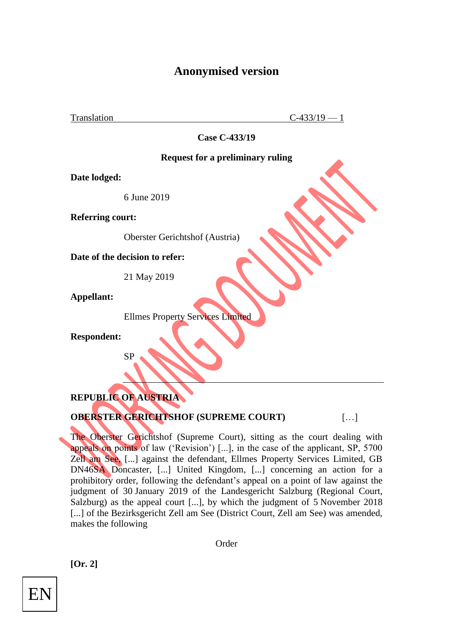# **Anonymised version**

Translation  $C-433/19-1$ 

**Case C-433/19**

#### **Request for a preliminary ruling**

**Date lodged:**

6 June 2019

**Referring court:**

Oberster Gerichtshof (Austria)

**Date of the decision to refer:**

21 May 2019

**Appellant:**

Ellmes Property Services Limited

**Respondent:**

# **REPUBLIC OF AUSTRIA**

SP

#### **OBERSTER GERICHTSHOF (SUPREME COURT)** [...]

The Oberster Gerichtshof (Supreme Court), sitting as the court dealing with appeals on points of law ('Revision') [...], in the case of the applicant, SP, 5700 Zell am See, [...] against the defendant, Ellmes Property Services Limited, GB DN46SA Doncaster, [...] United Kingdom, [...] concerning an action for a prohibitory order, following the defendant's appeal on a point of law against the judgment of 30 January 2019 of the Landesgericht Salzburg (Regional Court, Salzburg) as the appeal court [...], by which the judgment of 5 November 2018 [...] of the Bezirksgericht Zell am See (District Court, Zell am See) was amended, makes the following

Order

**[Or. 2]**

EN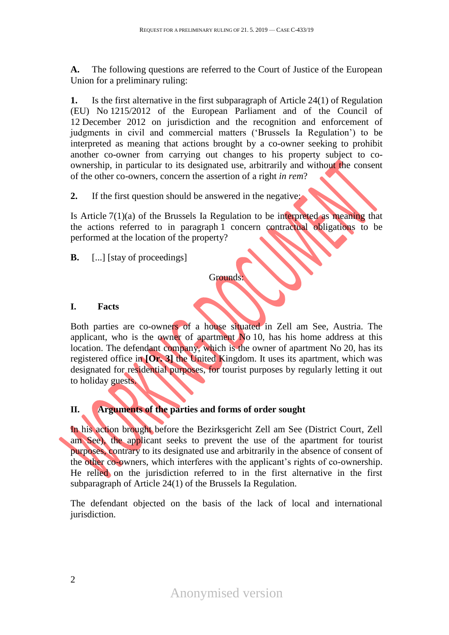**A.** The following questions are referred to the Court of Justice of the European Union for a preliminary ruling:

**1.** Is the first alternative in the first subparagraph of Article 24(1) of Regulation (EU) No 1215/2012 of the European Parliament and of the Council of 12 December 2012 on jurisdiction and the recognition and enforcement of judgments in civil and commercial matters ('Brussels Ia Regulation') to be interpreted as meaning that actions brought by a co-owner seeking to prohibit another co-owner from carrying out changes to his property subject to coownership, in particular to its designated use, arbitrarily and without the consent of the other co-owners, concern the assertion of a right *in rem*?

**2.** If the first question should be answered in the negative:

Is Article 7(1)(a) of the Brussels Ia Regulation to be interpreted as meaning that the actions referred to in paragraph 1 concern contractual obligations to be performed at the location of the property?

**B.** [...] [stay of proceedings]

Grounds:

# **I. Facts**

Both parties are co-owners of a house situated in Zell am See, Austria. The applicant, who is the owner of apartment No 10, has his home address at this location. The defendant company, which is the owner of apartment No 20, has its registered office in **[Or. 3]** the United Kingdom. It uses its apartment, which was designated for residential purposes, for tourist purposes by regularly letting it out to holiday guests.

# **II. Arguments of the parties and forms of order sought**

In his action brought before the Bezirksgericht Zell am See (District Court, Zell am See), the applicant seeks to prevent the use of the apartment for tourist purposes, contrary to its designated use and arbitrarily in the absence of consent of the other co-owners, which interferes with the applicant's rights of co-ownership. He relied on the jurisdiction referred to in the first alternative in the first subparagraph of Article 24(1) of the Brussels Ia Regulation.

The defendant objected on the basis of the lack of local and international jurisdiction.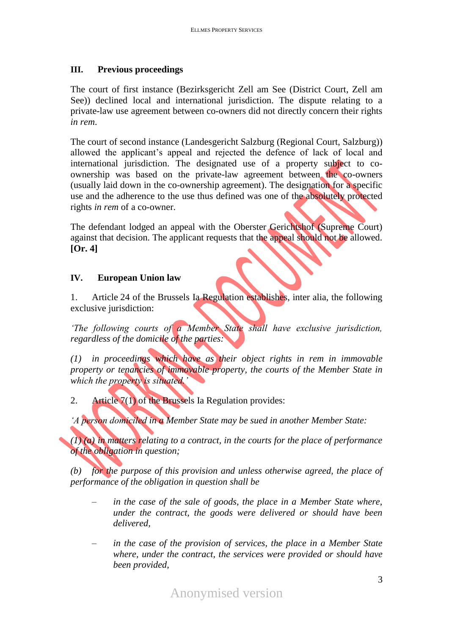#### **III. Previous proceedings**

The court of first instance (Bezirksgericht Zell am See (District Court, Zell am See)) declined local and international jurisdiction. The dispute relating to a private-law use agreement between co-owners did not directly concern their rights *in rem*.

The court of second instance (Landesgericht Salzburg (Regional Court, Salzburg)) allowed the applicant's appeal and rejected the defence of lack of local and international jurisdiction. The designated use of a property subject to coownership was based on the private-law agreement between the co-owners (usually laid down in the co-ownership agreement). The designation for a specific use and the adherence to the use thus defined was one of the absolutely protected rights *in rem* of a co-owner.

The defendant lodged an appeal with the Oberster Gerichtshof (Supreme Court) against that decision. The applicant requests that the appeal should not be allowed. **[Or. 4]**

# **IV. European Union law**

1. Article 24 of the Brussels Ia Regulation establishes, inter alia, the following exclusive jurisdiction:

*'The following courts of a Member State shall have exclusive jurisdiction, regardless of the domicile of the parties:*

*(1) in proceedings which have as their object rights in rem in immovable property or tenancies of immovable property, the courts of the Member State in which the property is situated.'*

2. Article 7(1) of the Brussels Ia Regulation provides:

*'A person domiciled in a Member State may be sued in another Member State:*

*(1) (a) in matters relating to a contract, in the courts for the place of performance of the obligation in question;*

*(b) for the purpose of this provision and unless otherwise agreed, the place of performance of the obligation in question shall be*

- *in the case of the sale of goods, the place in a Member State where, under the contract, the goods were delivered or should have been delivered,*
- *– in the case of the provision of services, the place in a Member State where, under the contract, the services were provided or should have been provided,*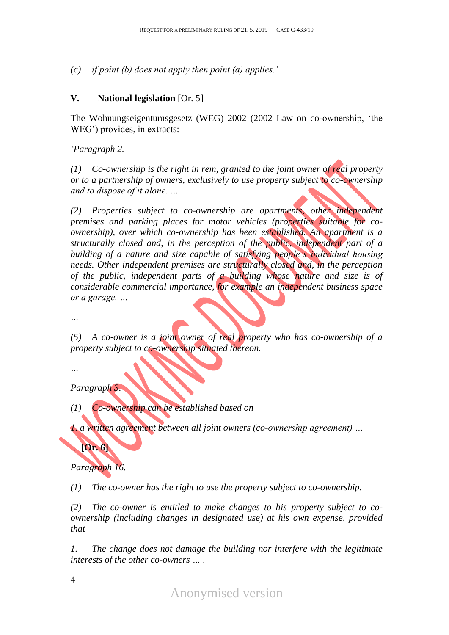*(c) if point (b) does not apply then point (a) applies.'*

# **V. National legislation** [Or. 5]

The Wohnungseigentumsgesetz (WEG) 2002 (2002 Law on co-ownership, 'the WEG') provides, in extracts:

# *'Paragraph 2.*

*(1) Co-ownership is the right in rem, granted to the joint owner of real property or to a partnership of owners, exclusively to use property subject to co-ownership and to dispose of it alone. …*

*(2) Properties subject to co-ownership are apartments, other independent premises and parking places for motor vehicles (properties suitable for coownership), over which co-ownership has been established. An apartment is a structurally closed and, in the perception of the public, independent part of a building of a nature and size capable of satisfying people's individual housing needs. Other independent premises are structurally closed and, in the perception of the public, independent parts of a building whose nature and size is of considerable commercial importance, for example an independent business space or a garage. …*

*…*

*(5) A co-owner is a joint owner of real property who has co-ownership of a property subject to co-ownership situated thereon.*

*…*

*Paragraph 3.*

*(1) Co-ownership can be established based on*

*1. a written agreement between all joint owners (co-ownership agreement) …*

# *Paragraph 16.*

*…* **[Or. 6]**

*(1) The co-owner has the right to use the property subject to co-ownership.*

*(2) The co-owner is entitled to make changes to his property subject to coownership (including changes in designated use) at his own expense, provided that*

*1. The change does not damage the building nor interfere with the legitimate interests of the other co-owners … .*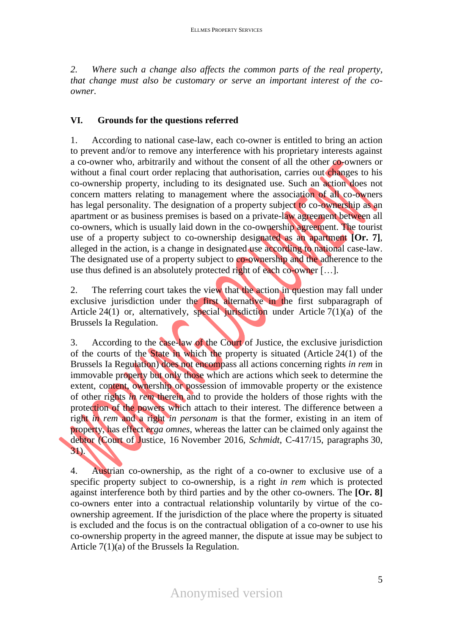*2. Where such a change also affects the common parts of the real property, that change must also be customary or serve an important interest of the coowner.*

# **VI. Grounds for the questions referred**

1. According to national case-law, each co-owner is entitled to bring an action to prevent and/or to remove any interference with his proprietary interests against a co-owner who, arbitrarily and without the consent of all the other co-owners or without a final court order replacing that authorisation, carries out changes to his co-ownership property, including to its designated use. Such an action does not concern matters relating to management where the association of all co-owners has legal personality. The designation of a property subject to co-ownership as an apartment or as business premises is based on a private-law agreement between all co-owners, which is usually laid down in the co-ownership agreement. The tourist use of a property subject to co-ownership designated as an apartment **[Or. 7]**, alleged in the action, is a change in designated use according to national case-law. The designated use of a property subject to co-ownership and the adherence to the use thus defined is an absolutely protected right of each co-owner [...].

2. The referring court takes the view that the action in question may fall under exclusive jurisdiction under the first alternative in the first subparagraph of Article 24(1) or, alternatively, special jurisdiction under Article 7(1)(a) of the Brussels Ia Regulation.

3. According to the case-law of the Court of Justice, the exclusive jurisdiction of the courts of the State in which the property is situated (Article 24(1) of the Brussels Ia Regulation) does not encompass all actions concerning rights *in rem* in immovable property but only those which are actions which seek to determine the extent, content, ownership or possession of immovable property or the existence of other rights *in rem* therein and to provide the holders of those rights with the protection of the powers which attach to their interest. The difference between a right *in rem* and a right *in personam* is that the former, existing in an item of property, has effect *erga omnes*, whereas the latter can be claimed only against the debtor (Court of Justice, 16 November 2016, *Schmidt*, C-417/15, paragraphs 30, 31).

4. Austrian co-ownership, as the right of a co-owner to exclusive use of a specific property subject to co-ownership, is a right *in rem* which is protected against interference both by third parties and by the other co-owners. The **[Or. 8]**  co-owners enter into a contractual relationship voluntarily by virtue of the coownership agreement. If the jurisdiction of the place where the property is situated is excluded and the focus is on the contractual obligation of a co-owner to use his co-ownership property in the agreed manner, the dispute at issue may be subject to Article 7(1)(a) of the Brussels Ia Regulation.